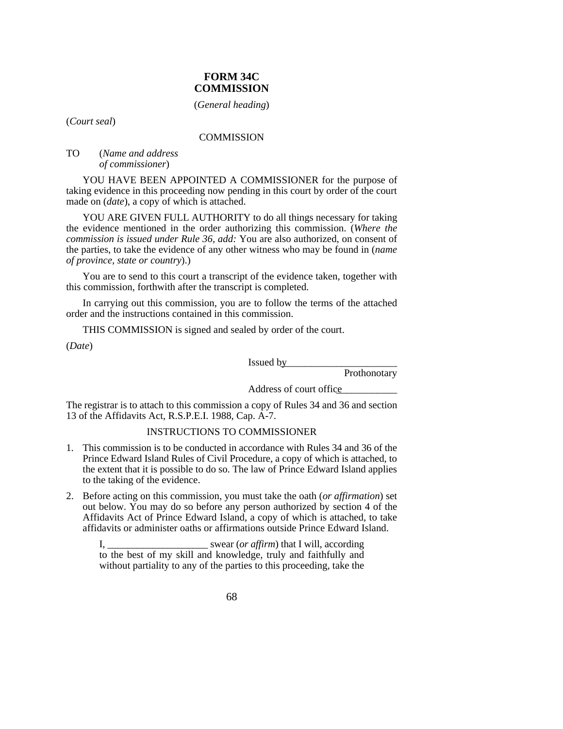## **FORM 34C COMMISSION**

(*General heading*)

(*Court seal*)

#### **COMMISSION**

#### TO (*Name and address of commissioner*)

YOU HAVE BEEN APPOINTED A COMMISSIONER for the purpose of taking evidence in this proceeding now pending in this court by order of the court made on (*date*), a copy of which is attached.

YOU ARE GIVEN FULL AUTHORITY to do all things necessary for taking the evidence mentioned in the order authorizing this commission. (*Where the commission is issued under Rule 36, add:* You are also authorized, on consent of the parties, to take the evidence of any other witness who may be found in (*name of province, state or country*).)

You are to send to this court a transcript of the evidence taken, together with this commission, forthwith after the transcript is completed.

In carrying out this commission, you are to follow the terms of the attached order and the instructions contained in this commission.

THIS COMMISSION is signed and sealed by order of the court.

(*Date*)

Issued by \_\_\_\_\_\_\_\_\_\_\_\_\_\_\_\_\_\_\_\_\_\_\_

Prothonotary

Address of court office\_\_\_\_\_\_\_\_\_\_\_\_

The registrar is to attach to this commission a copy of Rules 34 and 36 and section 13 of the Affidavits Act, R.S.P.E.I. 1988, Cap. A-7.

### INSTRUCTIONS TO COMMISSIONER

- 1. This commission is to be conducted in accordance with Rules 34 and 36 of the Prince Edward Island Rules of Civil Procedure, a copy of which is attached, to the extent that it is possible to do so. The law of Prince Edward Island applies to the taking of the evidence.
- 2. Before acting on this commission, you must take the oath (*or affirmation*) set out below. You may do so before any person authorized by section 4 of the Affidavits Act of Prince Edward Island, a copy of which is attached, to take affidavits or administer oaths or affirmations outside Prince Edward Island.

I, \_\_\_\_\_\_\_\_\_\_\_\_\_\_\_\_\_\_\_\_ swear (*or affirm*) that I will, according to the best of my skill and knowledge, truly and faithfully and without partiality to any of the parties to this proceeding, take the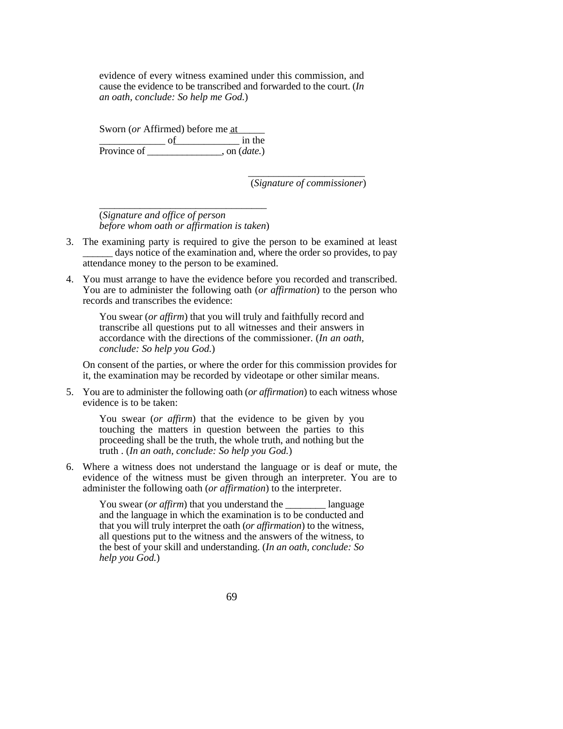evidence of every witness examined under this commission, and cause the evidence to be transcribed and forwarded to the court. (*In an oath, conclude: So help me God.*)

Sworn (*or* Affirmed) before me at  $\frac{\text{of}}{\text{of}}$  in the Province of \_\_\_\_\_\_\_\_\_\_\_\_\_\_\_, on (*date.*)

> \_\_\_\_\_\_\_\_\_\_\_\_\_\_\_\_\_\_\_\_\_\_\_ (*Signature of commissioner*)

\_\_\_\_\_\_\_\_\_\_\_\_\_\_\_\_\_\_\_\_\_\_\_\_\_\_\_\_\_\_\_\_\_ (*Signature and office of person before whom oath or affirmation is taken*)

- 3. The examining party is required to give the person to be examined at least days notice of the examination and, where the order so provides, to pay attendance money to the person to be examined.
- 4. You must arrange to have the evidence before you recorded and transcribed. You are to administer the following oath (*or affirmation*) to the person who records and transcribes the evidence:

You swear (*or affirm*) that you will truly and faithfully record and transcribe all questions put to all witnesses and their answers in accordance with the directions of the commissioner. (*In an oath, conclude: So help you God.*)

On consent of the parties, or where the order for this commission provides for it, the examination may be recorded by videotape or other similar means.

5. You are to administer the following oath (*or affirmation*) to each witness whose evidence is to be taken:

You swear (*or affirm*) that the evidence to be given by you touching the matters in question between the parties to this proceeding shall be the truth, the whole truth, and nothing but the truth . (*In an oath, conclude: So help you God.*)

6. Where a witness does not understand the language or is deaf or mute, the evidence of the witness must be given through an interpreter. You are to administer the following oath (*or affirmation*) to the interpreter.

You swear (*or affirm*) that you understand the language and the language in which the examination is to be conducted and that you will truly interpret the oath (*or affirmation*) to the witness, all questions put to the witness and the answers of the witness, to the best of your skill and understanding. (*In an oath, conclude: So help you God.*)